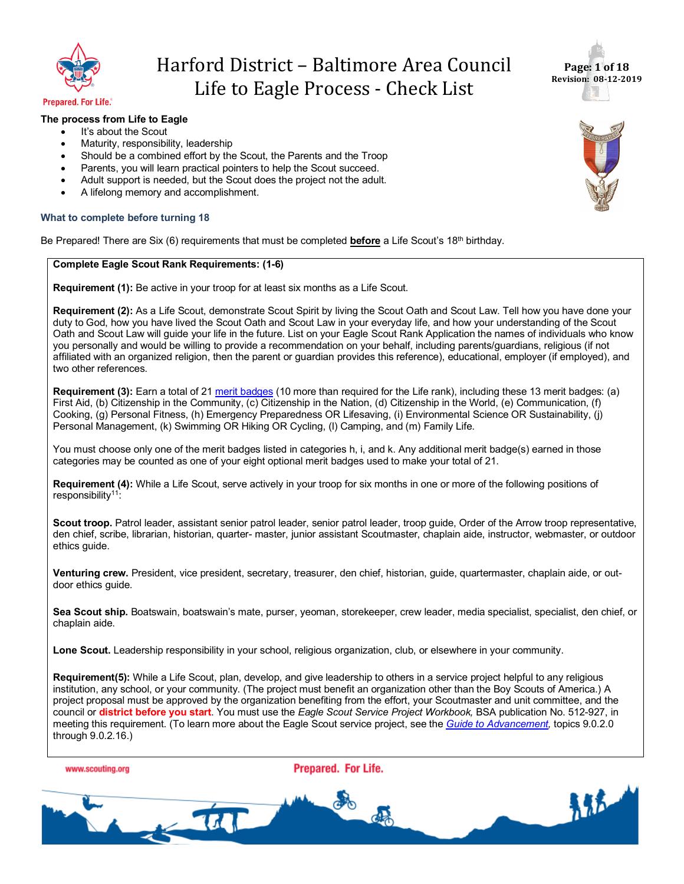



#### **Prepared. For Life.**®

### **The process from Life to Eagle**

- It's about the Scout
- Maturity, responsibility, leadership
- Should be a combined effort by the Scout, the Parents and the Troop
- Parents, you will learn practical pointers to help the Scout succeed.
- Adult support is needed, but the Scout does the project not the adult.
- A lifelong memory and accomplishment.

### **What to complete before turning 18**

Be Prepared! There are Six (6) requirements that must be completed **before** a Life Scout's 18th birthday.

### **Complete Eagle Scout Rank Requirements: (1-6)**

**Requirement (1):** Be active in your troop for at least six months as a Life Scout.

**Requirement (2):** As a Life Scout, demonstrate Scout Spirit by living the Scout Oath and Scout Law. Tell how you have done your duty to God, how you have lived the Scout Oath and Scout Law in your everyday life, and how your understanding of the Scout Oath and Scout Law will guide your life in the future. List on your Eagle Scout Rank Application the names of individuals who know you personally and would be willing to provide a recommendation on your behalf, including parents/guardians, religious (if not affiliated with an organized religion, then the parent or guardian provides this reference), educational, employer (if employed), and two other references.

**Requirement (3):** Earn a total of 21 merit badges (10 more than required for the Life rank), including these 13 merit badges: (a) First Aid, (b) Citizenship in the Community, (c) Citizenship in the Nation, (d) Citizenship in the World, (e) Communication, (f) Cooking, (g) Personal Fitness, (h) Emergency Preparedness OR Lifesaving, (i) Environmental Science OR Sustainability, (j) Personal Management, (k) Swimming OR Hiking OR Cycling, (l) Camping, and (m) Family Life.

You must choose only one of the merit badges listed in categories h, i, and k. Any additional merit badge(s) earned in those categories may be counted as one of your eight optional merit badges used to make your total of 21.

**Requirement (4):** While a Life Scout, serve actively in your troop for six months in one or more of the following positions of responsibility<sup>11</sup>:

**Scout troop.** Patrol leader, assistant senior patrol leader, senior patrol leader, troop guide, Order of the Arrow troop representative, den chief, scribe, librarian, historian, quarter- master, junior assistant Scoutmaster, chaplain aide, instructor, webmaster, or outdoor ethics guide.

**Venturing crew.** President, vice president, secretary, treasurer, den chief, historian, guide, quartermaster, chaplain aide, or outdoor ethics guide.

**Sea Scout ship.** Boatswain, boatswain's mate, purser, yeoman, storekeeper, crew leader, media specialist, specialist, den chief, or chaplain aide.

**Lone Scout.** Leadership responsibility in your school, religious organization, club, or elsewhere in your community.

**Requirement(5):** While a Life Scout, plan, develop, and give leadership to others in a service project helpful to any religious institution, any school, or your community. (The project must benefit an organization other than the Boy Scouts of America.) A project proposal must be approved by the organization benefiting from the effort, your Scoutmaster and unit committee, and the council or **district before you start**. You must use the *Eagle Scout Service Project Workbook,* BSA publication No. 512-927, in meeting this requirement. (To learn more about the Eagle Scout service project, see the *Guide to Advancement,* topics 9.0.2.0 through 9.0.2.16.)

www.scouting.org



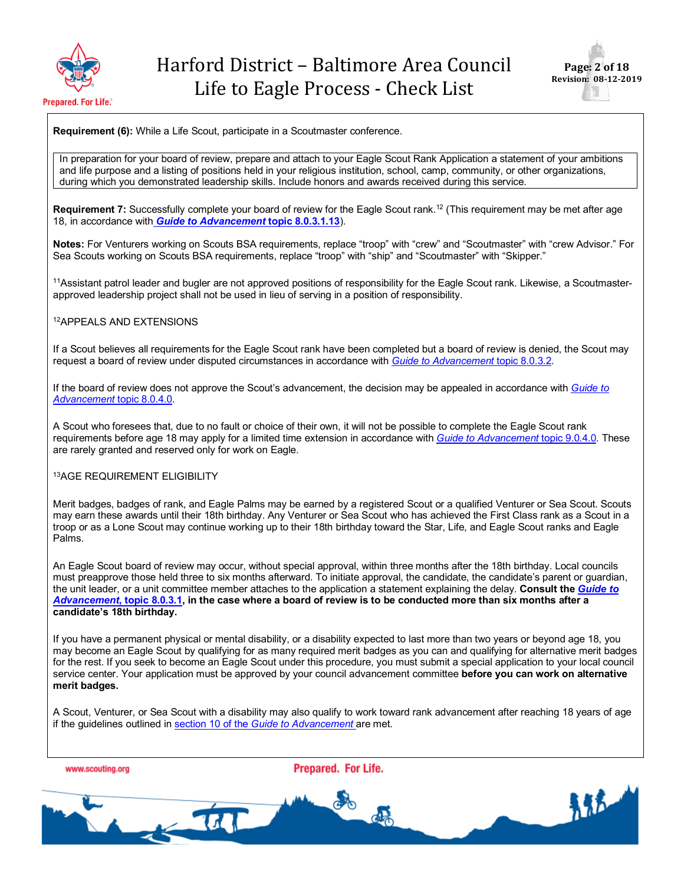



**Requirement (6):** While a Life Scout, participate in a Scoutmaster conference.

In preparation for your board of review, prepare and attach to your Eagle Scout Rank Application a statement of your ambitions and life purpose and a listing of positions held in your religious institution, school, camp, community, or other organizations, during which you demonstrated leadership skills. Include honors and awards received during this service.

**Requirement 7:** Successfully complete your board of review for the Eagle Scout rank.<sup>12</sup> (This requirement may be met after age 18, in accordance with *Guide to Advancement* **topic 8.0.3.1.13**).

**Notes:** For Venturers working on Scouts BSA requirements, replace "troop" with "crew" and "Scoutmaster" with "crew Advisor." For Sea Scouts working on Scouts BSA requirements, replace "troop" with "ship" and "Scoutmaster" with "Skipper."

11Assistant patrol leader and bugler are not approved positions of responsibility for the Eagle Scout rank. Likewise, a Scoutmasterapproved leadership project shall not be used in lieu of serving in a position of responsibility.

### 12APPEALS AND EXTENSIONS

If a Scout believes all requirements for the Eagle Scout rank have been completed but a board of review is denied, the Scout may request a board of review under disputed circumstances in accordance with *Guide to Advancement* topic 8.0.3.2.

If the board of review does not approve the Scout's advancement, the decision may be appealed in accordance with *Guide to Advancement* topic 8.0.4.0.

A Scout who foresees that, due to no fault or choice of their own, it will not be possible to complete the Eagle Scout rank requirements before age 18 may apply for a limited time extension in accordance with *Guide to Advancement* topic 9.0.4.0. These are rarely granted and reserved only for work on Eagle.

### 13AGE REQUIREMENT ELIGIBILITY

Merit badges, badges of rank, and Eagle Palms may be earned by a registered Scout or a qualified Venturer or Sea Scout. Scouts may earn these awards until their 18th birthday. Any Venturer or Sea Scout who has achieved the First Class rank as a Scout in a troop or as a Lone Scout may continue working up to their 18th birthday toward the Star, Life, and Eagle Scout ranks and Eagle Palms.

An Eagle Scout board of review may occur, without special approval, within three months after the 18th birthday. Local councils must preapprove those held three to six months afterward. To initiate approval, the candidate, the candidate's parent or guardian, the unit leader, or a unit committee member attaches to the application a statement explaining the delay. **Consult the** *Guide to Advancement***, topic 8.0.3.1, in the case where a board of review is to be conducted more than six months after a candidate's 18th birthday.**

If you have a permanent physical or mental disability, or a disability expected to last more than two years or beyond age 18, you may become an Eagle Scout by qualifying for as many required merit badges as you can and qualifying for alternative merit badges for the rest. If you seek to become an Eagle Scout under this procedure, you must submit a special application to your local council service center. Your application must be approved by your council advancement committee **before you can work on alternative merit badges.**

A Scout, Venturer, or Sea Scout with a disability may also qualify to work toward rank advancement after reaching 18 years of age if the guidelines outlined in section 10 of the *Guide to Advancement* are met.

www.scouting.org

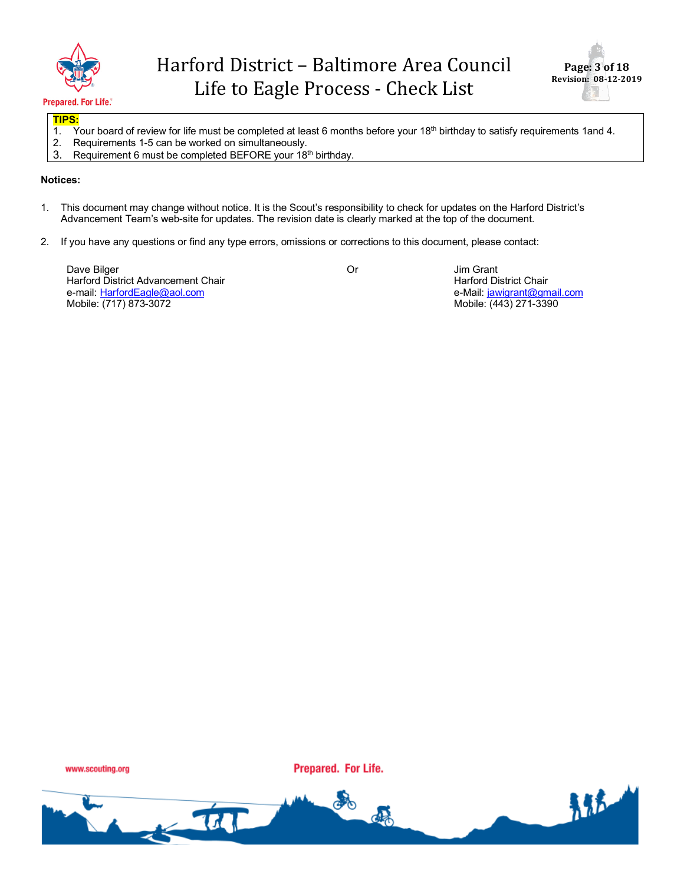



### **TIPS:**

- 1. Your board of review for life must be completed at least 6 months before your 18<sup>th</sup> birthday to satisfy requirements 1and 4.
- 2. Requirements 1-5 can be worked on simultaneously.
- 3. Requirement 6 must be completed BEFORE your 18<sup>th</sup> birthday.

### **Notices:**

- 1. This document may change without notice. It is the Scout's responsibility to check for updates on the Harford District's Advancement Team's web-site for updates. The revision date is clearly marked at the top of the document.
- 2. If you have any questions or find any type errors, omissions or corrections to this document, please contact:

Dave Bilger Harford District Advancement Chair e-mail: HarfordEagle@aol.com Mobile: (717) 873-3072

Or Jim Grant Harford District Chair e-Mail: jawigrant@gmail.com Mobile: (443) 271-3390

www.scouting.org

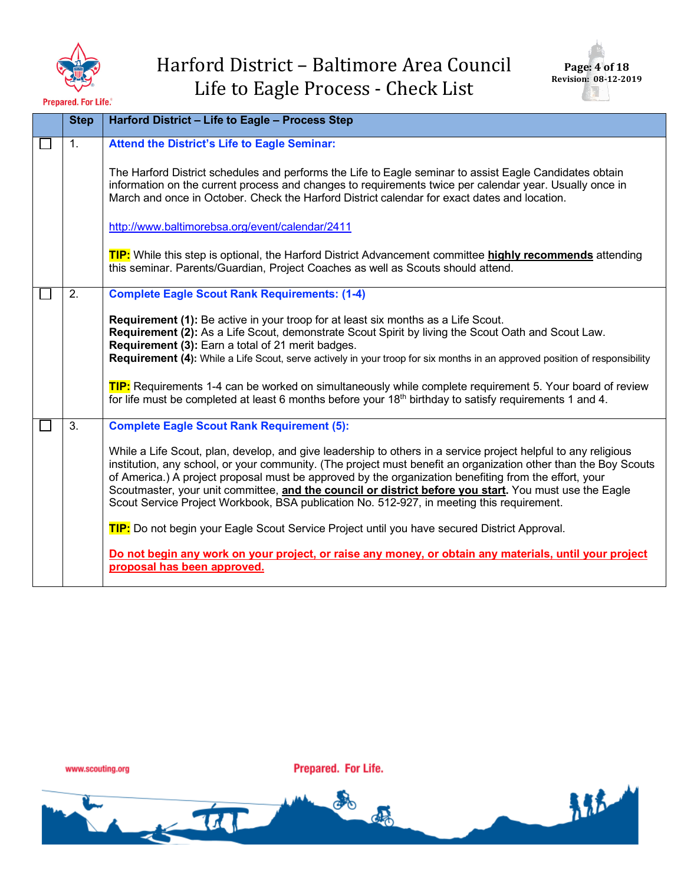



| <b>Step</b>    | Harford District - Life to Eagle - Process Step                                                                                                                                                                                                                                                                                                                                                                                                                                                                                                   |
|----------------|---------------------------------------------------------------------------------------------------------------------------------------------------------------------------------------------------------------------------------------------------------------------------------------------------------------------------------------------------------------------------------------------------------------------------------------------------------------------------------------------------------------------------------------------------|
| $\mathbf{1}$ . | <b>Attend the District's Life to Eagle Seminar:</b>                                                                                                                                                                                                                                                                                                                                                                                                                                                                                               |
|                | The Harford District schedules and performs the Life to Eagle seminar to assist Eagle Candidates obtain<br>information on the current process and changes to requirements twice per calendar year. Usually once in<br>March and once in October. Check the Harford District calendar for exact dates and location.                                                                                                                                                                                                                                |
|                | http://www.baltimorebsa.org/event/calendar/2411                                                                                                                                                                                                                                                                                                                                                                                                                                                                                                   |
|                | TIP: While this step is optional, the Harford District Advancement committee highly recommends attending<br>this seminar. Parents/Guardian, Project Coaches as well as Scouts should attend.                                                                                                                                                                                                                                                                                                                                                      |
| 2.             | <b>Complete Eagle Scout Rank Requirements: (1-4)</b>                                                                                                                                                                                                                                                                                                                                                                                                                                                                                              |
|                | <b>Requirement (1):</b> Be active in your troop for at least six months as a Life Scout.<br>Requirement (2): As a Life Scout, demonstrate Scout Spirit by living the Scout Oath and Scout Law.<br>Requirement (3): Earn a total of 21 merit badges.<br>Requirement (4): While a Life Scout, serve actively in your troop for six months in an approved position of responsibility                                                                                                                                                                 |
|                | TIP: Requirements 1-4 can be worked on simultaneously while complete requirement 5. Your board of review<br>for life must be completed at least 6 months before your 18 <sup>th</sup> birthday to satisfy requirements 1 and 4.                                                                                                                                                                                                                                                                                                                   |
| 3.             | <b>Complete Eagle Scout Rank Requirement (5):</b>                                                                                                                                                                                                                                                                                                                                                                                                                                                                                                 |
|                | While a Life Scout, plan, develop, and give leadership to others in a service project helpful to any religious<br>institution, any school, or your community. (The project must benefit an organization other than the Boy Scouts<br>of America.) A project proposal must be approved by the organization benefiting from the effort, your<br>Scoutmaster, your unit committee, and the council or district before you start. You must use the Eagle<br>Scout Service Project Workbook, BSA publication No. 512-927, in meeting this requirement. |
|                | TIP: Do not begin your Eagle Scout Service Project until you have secured District Approval.                                                                                                                                                                                                                                                                                                                                                                                                                                                      |
|                | Do not begin any work on your project, or raise any money, or obtain any materials, until your project<br>proposal has been approved.                                                                                                                                                                                                                                                                                                                                                                                                             |

www.scouting.org

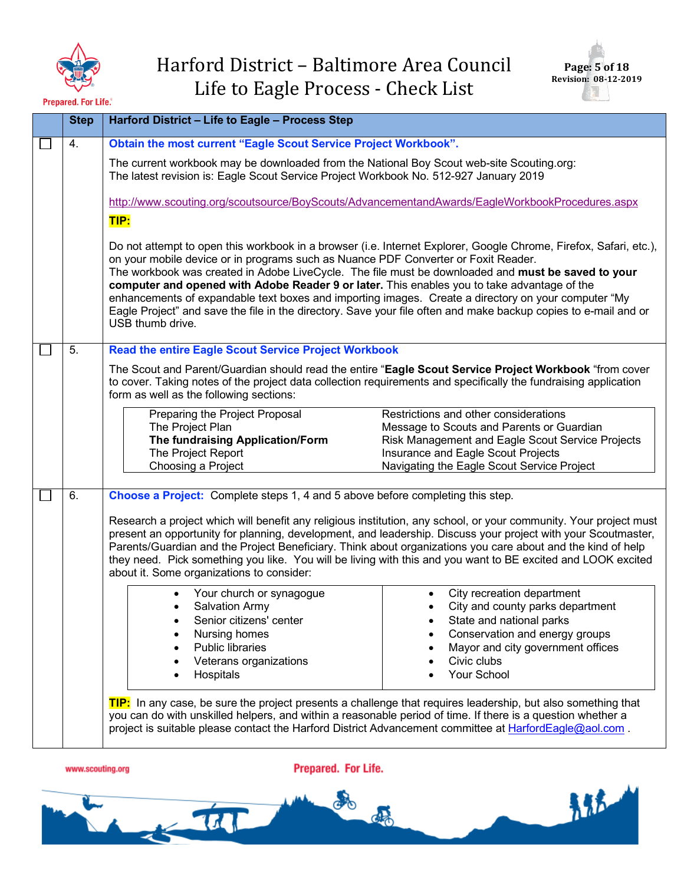



|                                                                                                                                                                                    | <b>Step</b> | Harford District - Life to Eagle - Process Step                                                                                                                                                                                                                                                                                                                                                                                                                                                                                       |                                                                                                                                                                                                                                    |  |  |
|------------------------------------------------------------------------------------------------------------------------------------------------------------------------------------|-------------|---------------------------------------------------------------------------------------------------------------------------------------------------------------------------------------------------------------------------------------------------------------------------------------------------------------------------------------------------------------------------------------------------------------------------------------------------------------------------------------------------------------------------------------|------------------------------------------------------------------------------------------------------------------------------------------------------------------------------------------------------------------------------------|--|--|
|                                                                                                                                                                                    | 4.          | Obtain the most current "Eagle Scout Service Project Workbook".                                                                                                                                                                                                                                                                                                                                                                                                                                                                       |                                                                                                                                                                                                                                    |  |  |
| The current workbook may be downloaded from the National Boy Scout web-site Scouting.org:<br>The latest revision is: Eagle Scout Service Project Workbook No. 512-927 January 2019 |             |                                                                                                                                                                                                                                                                                                                                                                                                                                                                                                                                       |                                                                                                                                                                                                                                    |  |  |
|                                                                                                                                                                                    |             | TIP:                                                                                                                                                                                                                                                                                                                                                                                                                                                                                                                                  | http://www.scouting.org/scoutsource/BoyScouts/AdvancementandAwards/EagleWorkbookProcedures.aspx                                                                                                                                    |  |  |
|                                                                                                                                                                                    |             | on your mobile device or in programs such as Nuance PDF Converter or Foxit Reader.<br>The workbook was created in Adobe LiveCycle. The file must be downloaded and must be saved to your<br>computer and opened with Adobe Reader 9 or later. This enables you to take advantage of the<br>enhancements of expandable text boxes and importing images. Create a directory on your computer "My<br>Eagle Project" and save the file in the directory. Save your file often and make backup copies to e-mail and or<br>USB thumb drive. | Do not attempt to open this workbook in a browser (i.e. Internet Explorer, Google Chrome, Firefox, Safari, etc.),                                                                                                                  |  |  |
|                                                                                                                                                                                    | 5.          | <b>Read the entire Eagle Scout Service Project Workbook</b>                                                                                                                                                                                                                                                                                                                                                                                                                                                                           |                                                                                                                                                                                                                                    |  |  |
|                                                                                                                                                                                    |             | The Scout and Parent/Guardian should read the entire "Eagle Scout Service Project Workbook "from cover<br>to cover. Taking notes of the project data collection requirements and specifically the fundraising application<br>form as well as the following sections:                                                                                                                                                                                                                                                                  |                                                                                                                                                                                                                                    |  |  |
|                                                                                                                                                                                    |             | Preparing the Project Proposal<br>The Project Plan<br>The fundraising Application/Form<br>The Project Report<br>Choosing a Project                                                                                                                                                                                                                                                                                                                                                                                                    | Restrictions and other considerations<br>Message to Scouts and Parents or Guardian<br>Risk Management and Eagle Scout Service Projects<br>Insurance and Eagle Scout Projects<br>Navigating the Eagle Scout Service Project         |  |  |
|                                                                                                                                                                                    | 6.          | Choose a Project: Complete steps 1, 4 and 5 above before completing this step.                                                                                                                                                                                                                                                                                                                                                                                                                                                        |                                                                                                                                                                                                                                    |  |  |
|                                                                                                                                                                                    |             | Parents/Guardian and the Project Beneficiary. Think about organizations you care about and the kind of help<br>they need. Pick something you like. You will be living with this and you want to BE excited and LOOK excited<br>about it. Some organizations to consider:                                                                                                                                                                                                                                                              | Research a project which will benefit any religious institution, any school, or your community. Your project must<br>present an opportunity for planning, development, and leadership. Discuss your project with your Scoutmaster, |  |  |
|                                                                                                                                                                                    |             | Your church or synagogue<br>Salvation Army<br>Senior citizens' center<br>$\bullet$<br>Nursing homes<br><b>Public libraries</b><br>Veterans organizations<br>Hospitals                                                                                                                                                                                                                                                                                                                                                                 | City recreation department<br>City and county parks department<br>State and national parks<br>Conservation and energy groups<br>Mayor and city government offices<br>Civic clubs<br>Your School                                    |  |  |
|                                                                                                                                                                                    |             | TIP: In any case, be sure the project presents a challenge that requires leadership, but also something that<br>you can do with unskilled helpers, and within a reasonable period of time. If there is a question whether a<br>project is suitable please contact the Harford District Advancement committee at HarfordEagle@aol.com.                                                                                                                                                                                                 |                                                                                                                                                                                                                                    |  |  |



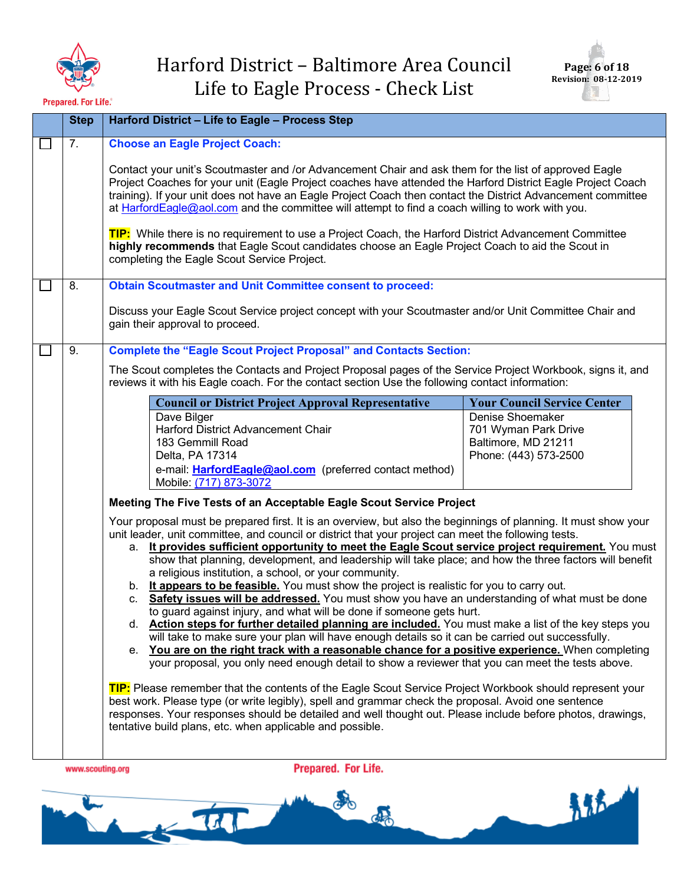



| <b>Step</b>      | Harford District - Life to Eagle - Process Step                                                                                                                                                                                                                                                                                                                                                                                                                                                                                                                                                                                                                                                                                                                                                                                                                                                                                                                                                                                                                                                                                                                                                           |  |
|------------------|-----------------------------------------------------------------------------------------------------------------------------------------------------------------------------------------------------------------------------------------------------------------------------------------------------------------------------------------------------------------------------------------------------------------------------------------------------------------------------------------------------------------------------------------------------------------------------------------------------------------------------------------------------------------------------------------------------------------------------------------------------------------------------------------------------------------------------------------------------------------------------------------------------------------------------------------------------------------------------------------------------------------------------------------------------------------------------------------------------------------------------------------------------------------------------------------------------------|--|
| 7.               | <b>Choose an Eagle Project Coach:</b>                                                                                                                                                                                                                                                                                                                                                                                                                                                                                                                                                                                                                                                                                                                                                                                                                                                                                                                                                                                                                                                                                                                                                                     |  |
|                  | Contact your unit's Scoutmaster and /or Advancement Chair and ask them for the list of approved Eagle<br>Project Coaches for your unit (Eagle Project coaches have attended the Harford District Eagle Project Coach<br>training). If your unit does not have an Eagle Project Coach then contact the District Advancement committee<br>at HarfordEagle@aol.com and the committee will attempt to find a coach willing to work with you.                                                                                                                                                                                                                                                                                                                                                                                                                                                                                                                                                                                                                                                                                                                                                                  |  |
|                  | TIP: While there is no requirement to use a Project Coach, the Harford District Advancement Committee<br>highly recommends that Eagle Scout candidates choose an Eagle Project Coach to aid the Scout in<br>completing the Eagle Scout Service Project.                                                                                                                                                                                                                                                                                                                                                                                                                                                                                                                                                                                                                                                                                                                                                                                                                                                                                                                                                   |  |
| 8.               | <b>Obtain Scoutmaster and Unit Committee consent to proceed:</b>                                                                                                                                                                                                                                                                                                                                                                                                                                                                                                                                                                                                                                                                                                                                                                                                                                                                                                                                                                                                                                                                                                                                          |  |
|                  | Discuss your Eagle Scout Service project concept with your Scoutmaster and/or Unit Committee Chair and<br>gain their approval to proceed.                                                                                                                                                                                                                                                                                                                                                                                                                                                                                                                                                                                                                                                                                                                                                                                                                                                                                                                                                                                                                                                                 |  |
| 9.               | <b>Complete the "Eagle Scout Project Proposal" and Contacts Section:</b>                                                                                                                                                                                                                                                                                                                                                                                                                                                                                                                                                                                                                                                                                                                                                                                                                                                                                                                                                                                                                                                                                                                                  |  |
|                  | The Scout completes the Contacts and Project Proposal pages of the Service Project Workbook, signs it, and<br>reviews it with his Eagle coach. For the contact section Use the following contact information:                                                                                                                                                                                                                                                                                                                                                                                                                                                                                                                                                                                                                                                                                                                                                                                                                                                                                                                                                                                             |  |
|                  | <b>Council or District Project Approval Representative</b><br><b>Your Council Service Center</b>                                                                                                                                                                                                                                                                                                                                                                                                                                                                                                                                                                                                                                                                                                                                                                                                                                                                                                                                                                                                                                                                                                          |  |
|                  | Dave Bilger<br>Denise Shoemaker<br>Harford District Advancement Chair<br>701 Wyman Park Drive<br>Baltimore, MD 21211<br>183 Gemmill Road<br>Phone: (443) 573-2500<br>Delta, PA 17314<br>e-mail: <b>HarfordEagle@aol.com</b> (preferred contact method)<br>Mobile: (717) 873-3072                                                                                                                                                                                                                                                                                                                                                                                                                                                                                                                                                                                                                                                                                                                                                                                                                                                                                                                          |  |
|                  | Meeting The Five Tests of an Acceptable Eagle Scout Service Project                                                                                                                                                                                                                                                                                                                                                                                                                                                                                                                                                                                                                                                                                                                                                                                                                                                                                                                                                                                                                                                                                                                                       |  |
|                  | Your proposal must be prepared first. It is an overview, but also the beginnings of planning. It must show your<br>unit leader, unit committee, and council or district that your project can meet the following tests.<br>a. It provides sufficient opportunity to meet the Eagle Scout service project requirement. You must<br>show that planning, development, and leadership will take place; and how the three factors will benefit<br>a religious institution, a school, or your community.<br>b. It appears to be feasible. You must show the project is realistic for you to carry out.<br>c. Safety issues will be addressed. You must show you have an understanding of what must be done<br>to guard against injury, and what will be done if someone gets hurt.<br>d. <b>Action steps for further detailed planning are included.</b> You must make a list of the key steps you<br>will take to make sure your plan will have enough details so it can be carried out successfully.<br>e. You are on the right track with a reasonable chance for a positive experience. When completing<br>your proposal, you only need enough detail to show a reviewer that you can meet the tests above. |  |
|                  | TIP: Please remember that the contents of the Eagle Scout Service Project Workbook should represent your<br>best work. Please type (or write legibly), spell and grammar check the proposal. Avoid one sentence<br>responses. Your responses should be detailed and well thought out. Please include before photos, drawings,<br>tentative build plans, etc. when applicable and possible.                                                                                                                                                                                                                                                                                                                                                                                                                                                                                                                                                                                                                                                                                                                                                                                                                |  |
| www.scouting.org | Prepared. For Life.                                                                                                                                                                                                                                                                                                                                                                                                                                                                                                                                                                                                                                                                                                                                                                                                                                                                                                                                                                                                                                                                                                                                                                                       |  |

新花 O  $\frac{1}{2}$ d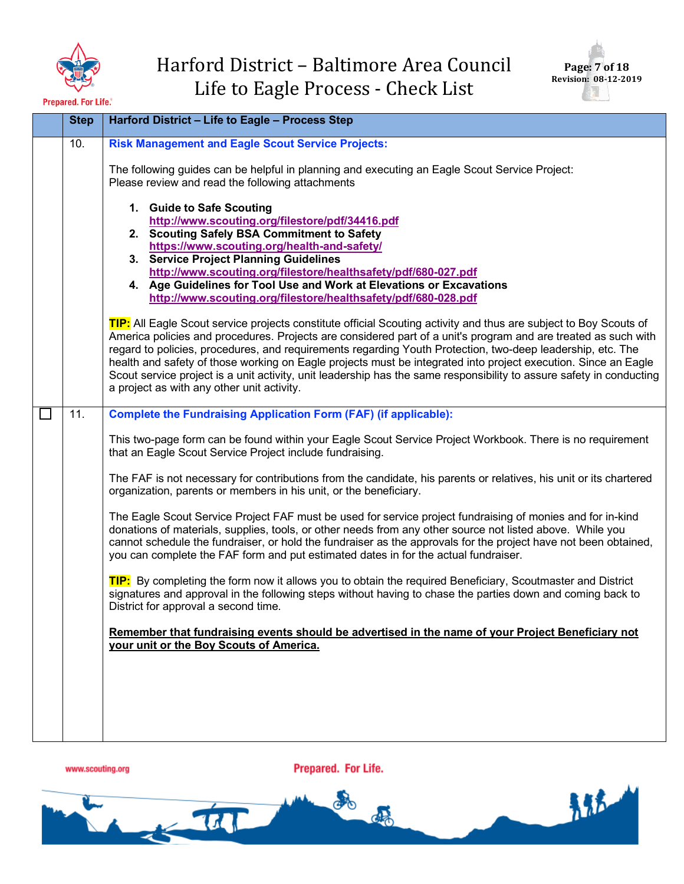



| <b>Step</b> | Harford District - Life to Eagle - Process Step                                                                                                                                                                                                                                                                                                                                                                                                                                                                                                                                                                                           |
|-------------|-------------------------------------------------------------------------------------------------------------------------------------------------------------------------------------------------------------------------------------------------------------------------------------------------------------------------------------------------------------------------------------------------------------------------------------------------------------------------------------------------------------------------------------------------------------------------------------------------------------------------------------------|
| 10.         | <b>Risk Management and Eagle Scout Service Projects:</b><br>The following guides can be helpful in planning and executing an Eagle Scout Service Project:<br>Please review and read the following attachments                                                                                                                                                                                                                                                                                                                                                                                                                             |
|             | 1. Guide to Safe Scouting<br>http://www.scouting.org/filestore/pdf/34416.pdf<br>2. Scouting Safely BSA Commitment to Safety<br>https://www.scouting.org/health-and-safety/<br>3. Service Project Planning Guidelines<br>http://www.scouting.org/filestore/healthsafety/pdf/680-027.pdf<br>4. Age Guidelines for Tool Use and Work at Elevations or Excavations<br>http://www.scouting.org/filestore/healthsafety/pdf/680-028.pdf                                                                                                                                                                                                          |
|             | TIP: All Eagle Scout service projects constitute official Scouting activity and thus are subject to Boy Scouts of<br>America policies and procedures. Projects are considered part of a unit's program and are treated as such with<br>regard to policies, procedures, and requirements regarding Youth Protection, two-deep leadership, etc. The<br>health and safety of those working on Eagle projects must be integrated into project execution. Since an Eagle<br>Scout service project is a unit activity, unit leadership has the same responsibility to assure safety in conducting<br>a project as with any other unit activity. |
| 11.         | <b>Complete the Fundraising Application Form (FAF) (if applicable):</b>                                                                                                                                                                                                                                                                                                                                                                                                                                                                                                                                                                   |
|             | This two-page form can be found within your Eagle Scout Service Project Workbook. There is no requirement<br>that an Eagle Scout Service Project include fundraising.                                                                                                                                                                                                                                                                                                                                                                                                                                                                     |
|             | The FAF is not necessary for contributions from the candidate, his parents or relatives, his unit or its chartered<br>organization, parents or members in his unit, or the beneficiary.                                                                                                                                                                                                                                                                                                                                                                                                                                                   |
|             | The Eagle Scout Service Project FAF must be used for service project fundraising of monies and for in-kind<br>donations of materials, supplies, tools, or other needs from any other source not listed above. While you<br>cannot schedule the fundraiser, or hold the fundraiser as the approvals for the project have not been obtained,<br>you can complete the FAF form and put estimated dates in for the actual fundraiser.                                                                                                                                                                                                         |
|             | TIP: By completing the form now it allows you to obtain the required Beneficiary, Scoutmaster and District<br>signatures and approval in the following steps without having to chase the parties down and coming back to<br>District for approval a second time.                                                                                                                                                                                                                                                                                                                                                                          |
|             | Remember that fundraising events should be advertised in the name of your Project Beneficiary not<br>your unit or the Boy Scouts of America.                                                                                                                                                                                                                                                                                                                                                                                                                                                                                              |
|             |                                                                                                                                                                                                                                                                                                                                                                                                                                                                                                                                                                                                                                           |
|             |                                                                                                                                                                                                                                                                                                                                                                                                                                                                                                                                                                                                                                           |

www.scouting.org

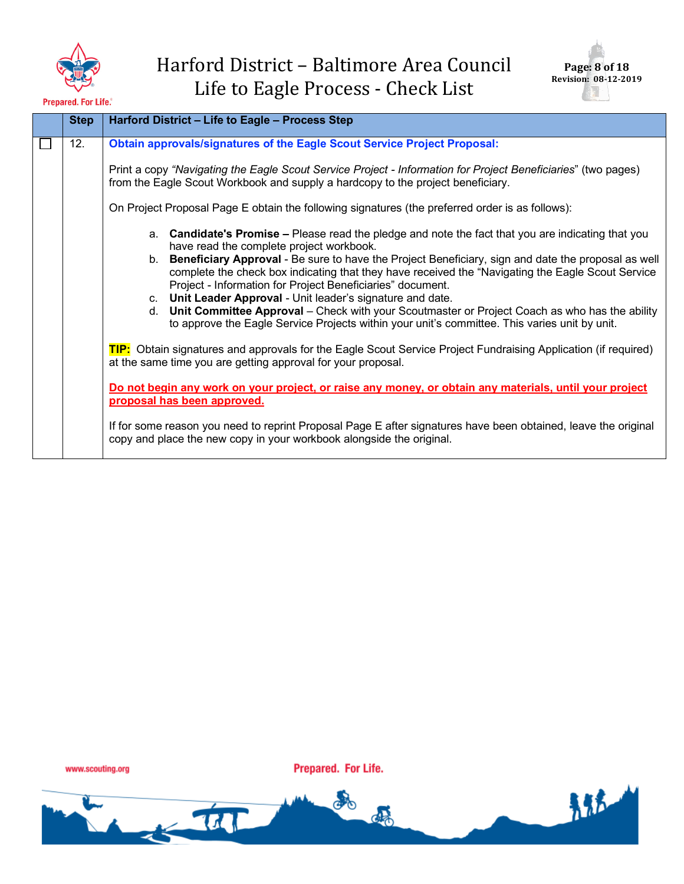



先先去

| <b>Step</b> | Harford District - Life to Eagle - Process Step                                                                                                                                                                                                                                                                                                                                                                                                                                                                                               |
|-------------|-----------------------------------------------------------------------------------------------------------------------------------------------------------------------------------------------------------------------------------------------------------------------------------------------------------------------------------------------------------------------------------------------------------------------------------------------------------------------------------------------------------------------------------------------|
| 12.         | <b>Obtain approvals/signatures of the Eagle Scout Service Project Proposal:</b><br>Print a copy "Navigating the Eagle Scout Service Project - Information for Project Beneficiaries" (two pages)<br>from the Eagle Scout Workbook and supply a hardcopy to the project beneficiary.<br>On Project Proposal Page E obtain the following signatures (the preferred order is as follows):<br>a. Candidate's Promise – Please read the pledge and note the fact that you are indicating that you<br>have read the complete project workbook.      |
|             | b. Beneficiary Approval - Be sure to have the Project Beneficiary, sign and date the proposal as well<br>complete the check box indicating that they have received the "Navigating the Eagle Scout Service"<br>Project - Information for Project Beneficiaries" document.<br>c. Unit Leader Approval - Unit leader's signature and date.<br>d. Unit Committee Approval - Check with your Scoutmaster or Project Coach as who has the ability<br>to approve the Eagle Service Projects within your unit's committee. This varies unit by unit. |
|             | TIP: Obtain signatures and approvals for the Eagle Scout Service Project Fundraising Application (if required)<br>at the same time you are getting approval for your proposal.                                                                                                                                                                                                                                                                                                                                                                |
|             | Do not begin any work on your project, or raise any money, or obtain any materials, until your project<br>proposal has been approved.                                                                                                                                                                                                                                                                                                                                                                                                         |
|             | If for some reason you need to reprint Proposal Page E after signatures have been obtained, leave the original<br>copy and place the new copy in your workbook alongside the original.                                                                                                                                                                                                                                                                                                                                                        |

www.scouting.org

 $\frac{1}{2}$ 

Prepared. For Life.

o

de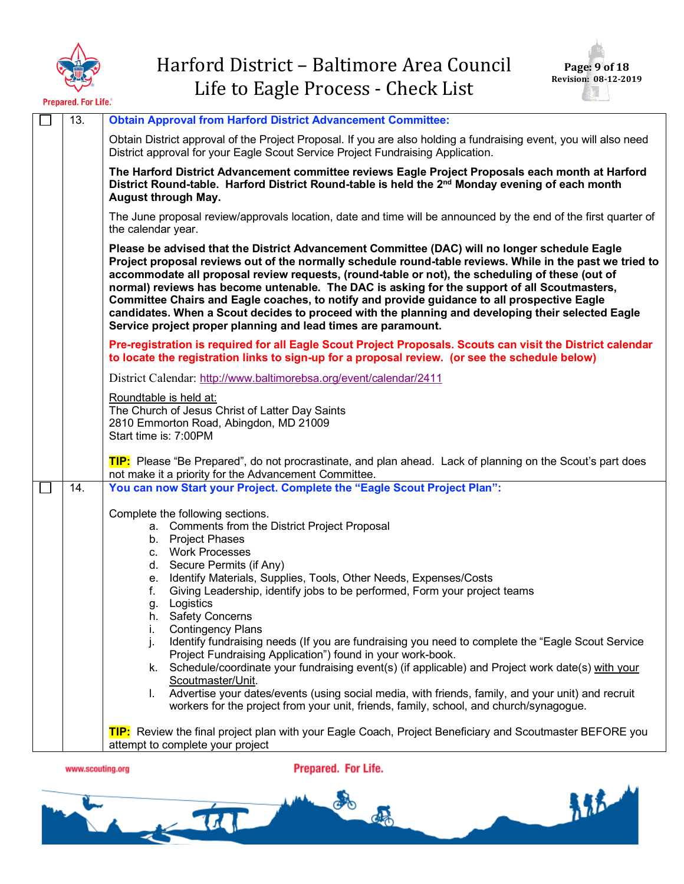



| 13.              | <b>Obtain Approval from Harford District Advancement Committee:</b>                                                                                                                                                                                                                                                                                                                                                                                                                                                                                                                                                                                                               |
|------------------|-----------------------------------------------------------------------------------------------------------------------------------------------------------------------------------------------------------------------------------------------------------------------------------------------------------------------------------------------------------------------------------------------------------------------------------------------------------------------------------------------------------------------------------------------------------------------------------------------------------------------------------------------------------------------------------|
|                  | Obtain District approval of the Project Proposal. If you are also holding a fundraising event, you will also need<br>District approval for your Eagle Scout Service Project Fundraising Application.                                                                                                                                                                                                                                                                                                                                                                                                                                                                              |
|                  | The Harford District Advancement committee reviews Eagle Project Proposals each month at Harford<br>District Round-table. Harford District Round-table is held the 2 <sup>nd</sup> Monday evening of each month<br><b>August through May.</b>                                                                                                                                                                                                                                                                                                                                                                                                                                     |
|                  | The June proposal review/approvals location, date and time will be announced by the end of the first quarter of<br>the calendar year.                                                                                                                                                                                                                                                                                                                                                                                                                                                                                                                                             |
|                  | Please be advised that the District Advancement Committee (DAC) will no longer schedule Eagle<br>Project proposal reviews out of the normally schedule round-table reviews. While in the past we tried to<br>accommodate all proposal review requests, (round-table or not), the scheduling of these (out of<br>normal) reviews has become untenable. The DAC is asking for the support of all Scoutmasters,<br>Committee Chairs and Eagle coaches, to notify and provide guidance to all prospective Eagle<br>candidates. When a Scout decides to proceed with the planning and developing their selected Eagle<br>Service project proper planning and lead times are paramount. |
|                  | Pre-registration is required for all Eagle Scout Project Proposals. Scouts can visit the District calendar<br>to locate the registration links to sign-up for a proposal review. (or see the schedule below)                                                                                                                                                                                                                                                                                                                                                                                                                                                                      |
|                  | District Calendar: http://www.baltimorebsa.org/event/calendar/2411                                                                                                                                                                                                                                                                                                                                                                                                                                                                                                                                                                                                                |
|                  | Roundtable is held at:<br>The Church of Jesus Christ of Latter Day Saints<br>2810 Emmorton Road, Abingdon, MD 21009<br>Start time is: 7:00PM                                                                                                                                                                                                                                                                                                                                                                                                                                                                                                                                      |
|                  | TIP: Please "Be Prepared", do not procrastinate, and plan ahead. Lack of planning on the Scout's part does<br>not make it a priority for the Advancement Committee.                                                                                                                                                                                                                                                                                                                                                                                                                                                                                                               |
| 14.              | You can now Start your Project. Complete the "Eagle Scout Project Plan":                                                                                                                                                                                                                                                                                                                                                                                                                                                                                                                                                                                                          |
|                  | Complete the following sections.                                                                                                                                                                                                                                                                                                                                                                                                                                                                                                                                                                                                                                                  |
|                  | a. Comments from the District Project Proposal                                                                                                                                                                                                                                                                                                                                                                                                                                                                                                                                                                                                                                    |
|                  | b. Project Phases                                                                                                                                                                                                                                                                                                                                                                                                                                                                                                                                                                                                                                                                 |
|                  | c. Work Processes<br>d. Secure Permits (if Any)                                                                                                                                                                                                                                                                                                                                                                                                                                                                                                                                                                                                                                   |
|                  | Identify Materials, Supplies, Tools, Other Needs, Expenses/Costs<br>е.                                                                                                                                                                                                                                                                                                                                                                                                                                                                                                                                                                                                            |
|                  | Giving Leadership, identify jobs to be performed, Form your project teams<br>f.                                                                                                                                                                                                                                                                                                                                                                                                                                                                                                                                                                                                   |
|                  | Logistics<br>g.<br>h. Safety Concerns                                                                                                                                                                                                                                                                                                                                                                                                                                                                                                                                                                                                                                             |
|                  | <b>Contingency Plans</b><br>i.                                                                                                                                                                                                                                                                                                                                                                                                                                                                                                                                                                                                                                                    |
|                  | j.<br>Identify fundraising needs (If you are fundraising you need to complete the "Eagle Scout Service"<br>Project Fundraising Application") found in your work-book.                                                                                                                                                                                                                                                                                                                                                                                                                                                                                                             |
|                  | Schedule/coordinate your fundraising event(s) (if applicable) and Project work date(s) with your<br>k.<br>Scoutmaster/Unit.                                                                                                                                                                                                                                                                                                                                                                                                                                                                                                                                                       |
|                  | Advertise your dates/events (using social media, with friends, family, and your unit) and recruit<br>I.<br>workers for the project from your unit, friends, family, school, and church/synagogue.                                                                                                                                                                                                                                                                                                                                                                                                                                                                                 |
|                  | TIP: Review the final project plan with your Eagle Coach, Project Beneficiary and Scoutmaster BEFORE you<br>attempt to complete your project                                                                                                                                                                                                                                                                                                                                                                                                                                                                                                                                      |
| www.scouting.org | Prepared. For Life.                                                                                                                                                                                                                                                                                                                                                                                                                                                                                                                                                                                                                                                               |

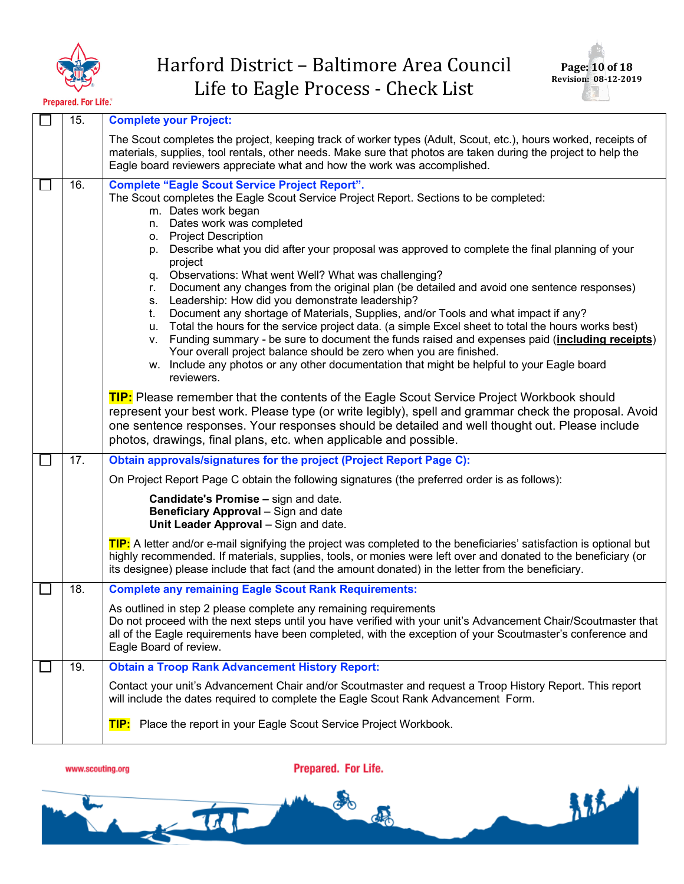



青春

**Prepared. For Life.**®

| 15. | <b>Complete your Project:</b>                                                                                                                                                                                                                                                                                                                                                                                                                                                                                                                                                                                                                                                                                                                                                                                                                                                                                                                                                                                                                                                                                                                                                                                                                                                                                                                                                                    |
|-----|--------------------------------------------------------------------------------------------------------------------------------------------------------------------------------------------------------------------------------------------------------------------------------------------------------------------------------------------------------------------------------------------------------------------------------------------------------------------------------------------------------------------------------------------------------------------------------------------------------------------------------------------------------------------------------------------------------------------------------------------------------------------------------------------------------------------------------------------------------------------------------------------------------------------------------------------------------------------------------------------------------------------------------------------------------------------------------------------------------------------------------------------------------------------------------------------------------------------------------------------------------------------------------------------------------------------------------------------------------------------------------------------------|
|     | The Scout completes the project, keeping track of worker types (Adult, Scout, etc.), hours worked, receipts of<br>materials, supplies, tool rentals, other needs. Make sure that photos are taken during the project to help the<br>Eagle board reviewers appreciate what and how the work was accomplished.                                                                                                                                                                                                                                                                                                                                                                                                                                                                                                                                                                                                                                                                                                                                                                                                                                                                                                                                                                                                                                                                                     |
| 16. | <b>Complete "Eagle Scout Service Project Report".</b><br>The Scout completes the Eagle Scout Service Project Report. Sections to be completed:<br>m. Dates work began<br>Dates work was completed<br>n.<br><b>Project Description</b><br>0.<br>Describe what you did after your proposal was approved to complete the final planning of your<br>p.<br>project<br>Observations: What went Well? What was challenging?<br>q.<br>Document any changes from the original plan (be detailed and avoid one sentence responses)<br>r.<br>Leadership: How did you demonstrate leadership?<br>S.<br>Document any shortage of Materials, Supplies, and/or Tools and what impact if any?<br>t.<br>Total the hours for the service project data. (a simple Excel sheet to total the hours works best)<br>u.<br>Funding summary - be sure to document the funds raised and expenses paid (including receipts)<br>V.<br>Your overall project balance should be zero when you are finished.<br>w. Include any photos or any other documentation that might be helpful to your Eagle board<br>reviewers.<br>TIP: Please remember that the contents of the Eagle Scout Service Project Workbook should<br>represent your best work. Please type (or write legibly), spell and grammar check the proposal. Avoid<br>one sentence responses. Your responses should be detailed and well thought out. Please include |
|     | photos, drawings, final plans, etc. when applicable and possible.                                                                                                                                                                                                                                                                                                                                                                                                                                                                                                                                                                                                                                                                                                                                                                                                                                                                                                                                                                                                                                                                                                                                                                                                                                                                                                                                |
| 17. | Obtain approvals/signatures for the project (Project Report Page C):                                                                                                                                                                                                                                                                                                                                                                                                                                                                                                                                                                                                                                                                                                                                                                                                                                                                                                                                                                                                                                                                                                                                                                                                                                                                                                                             |
|     | On Project Report Page C obtain the following signatures (the preferred order is as follows):<br><b>Candidate's Promise - sign and date.</b><br><b>Beneficiary Approval</b> – Sign and date<br>Unit Leader Approval - Sign and date.                                                                                                                                                                                                                                                                                                                                                                                                                                                                                                                                                                                                                                                                                                                                                                                                                                                                                                                                                                                                                                                                                                                                                             |
|     | TIP: A letter and/or e-mail signifying the project was completed to the beneficiaries' satisfaction is optional but<br>highly recommended. If materials, supplies, tools, or monies were left over and donated to the beneficiary (or<br>its designee) please include that fact (and the amount donated) in the letter from the beneficiary.                                                                                                                                                                                                                                                                                                                                                                                                                                                                                                                                                                                                                                                                                                                                                                                                                                                                                                                                                                                                                                                     |
| 18. | <b>Complete any remaining Eagle Scout Rank Requirements:</b>                                                                                                                                                                                                                                                                                                                                                                                                                                                                                                                                                                                                                                                                                                                                                                                                                                                                                                                                                                                                                                                                                                                                                                                                                                                                                                                                     |
|     | As outlined in step 2 please complete any remaining requirements<br>Do not proceed with the next steps until you have verified with your unit's Advancement Chair/Scoutmaster that<br>all of the Eagle requirements have been completed, with the exception of your Scoutmaster's conference and<br>Eagle Board of review.                                                                                                                                                                                                                                                                                                                                                                                                                                                                                                                                                                                                                                                                                                                                                                                                                                                                                                                                                                                                                                                                       |
| 19. | <b>Obtain a Troop Rank Advancement History Report:</b>                                                                                                                                                                                                                                                                                                                                                                                                                                                                                                                                                                                                                                                                                                                                                                                                                                                                                                                                                                                                                                                                                                                                                                                                                                                                                                                                           |
|     | Contact your unit's Advancement Chair and/or Scoutmaster and request a Troop History Report. This report<br>will include the dates required to complete the Eagle Scout Rank Advancement Form.                                                                                                                                                                                                                                                                                                                                                                                                                                                                                                                                                                                                                                                                                                                                                                                                                                                                                                                                                                                                                                                                                                                                                                                                   |
|     | Place the report in your Eagle Scout Service Project Workbook.<br>TIP:                                                                                                                                                                                                                                                                                                                                                                                                                                                                                                                                                                                                                                                                                                                                                                                                                                                                                                                                                                                                                                                                                                                                                                                                                                                                                                                           |
|     |                                                                                                                                                                                                                                                                                                                                                                                                                                                                                                                                                                                                                                                                                                                                                                                                                                                                                                                                                                                                                                                                                                                                                                                                                                                                                                                                                                                                  |



 $\frac{1}{2}$ 

Prepared. For Life.

oto

CON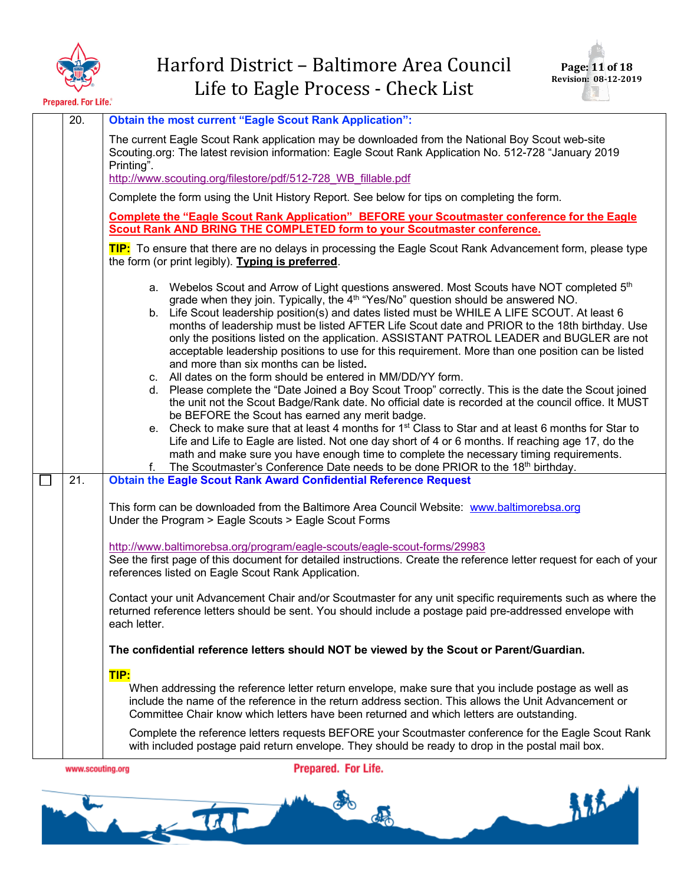



| 20.              | <b>Obtain the most current "Eagle Scout Rank Application":</b>                                                                                                                                                                                                                                                                                                                                                                                                                                                                                                                                                                                                                                                                                                                                                                                                                                                                                                                                                                                                                                                                                                                                                 |
|------------------|----------------------------------------------------------------------------------------------------------------------------------------------------------------------------------------------------------------------------------------------------------------------------------------------------------------------------------------------------------------------------------------------------------------------------------------------------------------------------------------------------------------------------------------------------------------------------------------------------------------------------------------------------------------------------------------------------------------------------------------------------------------------------------------------------------------------------------------------------------------------------------------------------------------------------------------------------------------------------------------------------------------------------------------------------------------------------------------------------------------------------------------------------------------------------------------------------------------|
|                  | The current Eagle Scout Rank application may be downloaded from the National Boy Scout web-site<br>Scouting.org: The latest revision information: Eagle Scout Rank Application No. 512-728 "January 2019<br>Printing".                                                                                                                                                                                                                                                                                                                                                                                                                                                                                                                                                                                                                                                                                                                                                                                                                                                                                                                                                                                         |
|                  | http://www.scouting.org/filestore/pdf/512-728 WB fillable.pdf                                                                                                                                                                                                                                                                                                                                                                                                                                                                                                                                                                                                                                                                                                                                                                                                                                                                                                                                                                                                                                                                                                                                                  |
|                  | Complete the form using the Unit History Report. See below for tips on completing the form.                                                                                                                                                                                                                                                                                                                                                                                                                                                                                                                                                                                                                                                                                                                                                                                                                                                                                                                                                                                                                                                                                                                    |
|                  | Complete the "Eagle Scout Rank Application" BEFORE your Scoutmaster conference for the Eagle<br><b>Scout Rank AND BRING THE COMPLETED form to your Scoutmaster conference.</b>                                                                                                                                                                                                                                                                                                                                                                                                                                                                                                                                                                                                                                                                                                                                                                                                                                                                                                                                                                                                                                 |
|                  | <b>TIP:</b> To ensure that there are no delays in processing the Eagle Scout Rank Advancement form, please type<br>the form (or print legibly). Typing is preferred.                                                                                                                                                                                                                                                                                                                                                                                                                                                                                                                                                                                                                                                                                                                                                                                                                                                                                                                                                                                                                                           |
|                  | a. Webelos Scout and Arrow of Light questions answered. Most Scouts have NOT completed 5 <sup>th</sup><br>grade when they join. Typically, the 4 <sup>th</sup> "Yes/No" question should be answered NO.<br>b. Life Scout leadership position(s) and dates listed must be WHILE A LIFE SCOUT. At least 6<br>months of leadership must be listed AFTER Life Scout date and PRIOR to the 18th birthday. Use<br>only the positions listed on the application. ASSISTANT PATROL LEADER and BUGLER are not<br>acceptable leadership positions to use for this requirement. More than one position can be listed<br>and more than six months can be listed.<br>c. All dates on the form should be entered in MM/DD/YY form.<br>d. Please complete the "Date Joined a Boy Scout Troop" correctly. This is the date the Scout joined<br>the unit not the Scout Badge/Rank date. No official date is recorded at the council office. It MUST<br>be BEFORE the Scout has earned any merit badge.<br>e. Check to make sure that at least 4 months for 1 <sup>st</sup> Class to Star and at least 6 months for Star to<br>Life and Life to Eagle are listed. Not one day short of 4 or 6 months. If reaching age 17, do the |
|                  | math and make sure you have enough time to complete the necessary timing requirements.<br>The Scoutmaster's Conference Date needs to be done PRIOR to the 18th birthday.<br>f.                                                                                                                                                                                                                                                                                                                                                                                                                                                                                                                                                                                                                                                                                                                                                                                                                                                                                                                                                                                                                                 |
| 21.              | <b>Obtain the Eagle Scout Rank Award Confidential Reference Request</b>                                                                                                                                                                                                                                                                                                                                                                                                                                                                                                                                                                                                                                                                                                                                                                                                                                                                                                                                                                                                                                                                                                                                        |
|                  | This form can be downloaded from the Baltimore Area Council Website: www.baltimorebsa.org<br>Under the Program > Eagle Scouts > Eagle Scout Forms                                                                                                                                                                                                                                                                                                                                                                                                                                                                                                                                                                                                                                                                                                                                                                                                                                                                                                                                                                                                                                                              |
|                  | http://www.baltimorebsa.org/program/eagle-scouts/eagle-scout-forms/29983<br>See the first page of this document for detailed instructions. Create the reference letter request for each of your<br>references listed on Eagle Scout Rank Application.                                                                                                                                                                                                                                                                                                                                                                                                                                                                                                                                                                                                                                                                                                                                                                                                                                                                                                                                                          |
|                  | Contact your unit Advancement Chair and/or Scoutmaster for any unit specific requirements such as where the<br>returned reference letters should be sent. You should include a postage paid pre-addressed envelope with<br>each letter.                                                                                                                                                                                                                                                                                                                                                                                                                                                                                                                                                                                                                                                                                                                                                                                                                                                                                                                                                                        |
|                  | The confidential reference letters should NOT be viewed by the Scout or Parent/Guardian.                                                                                                                                                                                                                                                                                                                                                                                                                                                                                                                                                                                                                                                                                                                                                                                                                                                                                                                                                                                                                                                                                                                       |
|                  | TIP:<br>When addressing the reference letter return envelope, make sure that you include postage as well as<br>include the name of the reference in the return address section. This allows the Unit Advancement or<br>Committee Chair know which letters have been returned and which letters are outstanding.                                                                                                                                                                                                                                                                                                                                                                                                                                                                                                                                                                                                                                                                                                                                                                                                                                                                                                |
|                  | Complete the reference letters requests BEFORE your Scoutmaster conference for the Eagle Scout Rank<br>with included postage paid return envelope. They should be ready to drop in the postal mail box.                                                                                                                                                                                                                                                                                                                                                                                                                                                                                                                                                                                                                                                                                                                                                                                                                                                                                                                                                                                                        |
| www.scouting.org | Prepared. For Life.                                                                                                                                                                                                                                                                                                                                                                                                                                                                                                                                                                                                                                                                                                                                                                                                                                                                                                                                                                                                                                                                                                                                                                                            |

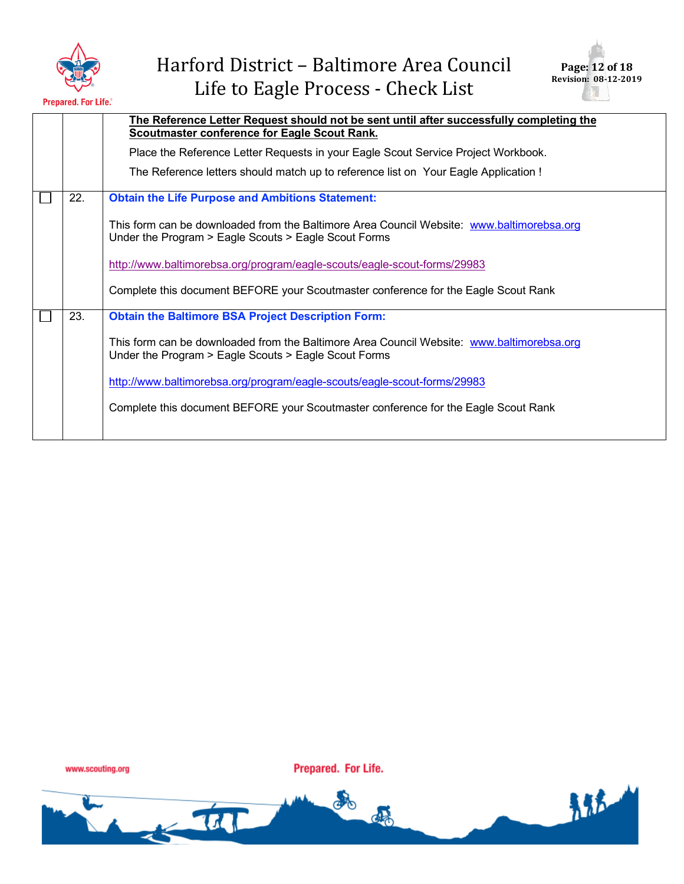

| Page: 12 of 18       |  |
|----------------------|--|
| Revision: 08-12-2019 |  |
|                      |  |

 $\bar{k}$  :

|     | The Reference Letter Request should not be sent until after successfully completing the<br><b>Scoutmaster conference for Eagle Scout Rank.</b>    |
|-----|---------------------------------------------------------------------------------------------------------------------------------------------------|
|     | Place the Reference Letter Requests in your Eagle Scout Service Project Workbook.                                                                 |
|     | The Reference letters should match up to reference list on Your Eagle Application !                                                               |
| 22. | <b>Obtain the Life Purpose and Ambitions Statement:</b>                                                                                           |
|     | This form can be downloaded from the Baltimore Area Council Website: www.baltimorebsa.org<br>Under the Program > Eagle Scouts > Eagle Scout Forms |
|     | http://www.baltimorebsa.org/program/eagle-scouts/eagle-scout-forms/29983                                                                          |
|     | Complete this document BEFORE your Scoutmaster conference for the Eagle Scout Rank                                                                |
| 23. | <b>Obtain the Baltimore BSA Project Description Form:</b>                                                                                         |
|     | This form can be downloaded from the Baltimore Area Council Website: www.baltimorebsa.org<br>Under the Program > Eagle Scouts > Eagle Scout Forms |
|     | http://www.baltimorebsa.org/program/eagle-scouts/eagle-scout-forms/29983                                                                          |
|     | Complete this document BEFORE your Scoutmaster conference for the Eagle Scout Rank                                                                |
|     |                                                                                                                                                   |

www.scouting.org

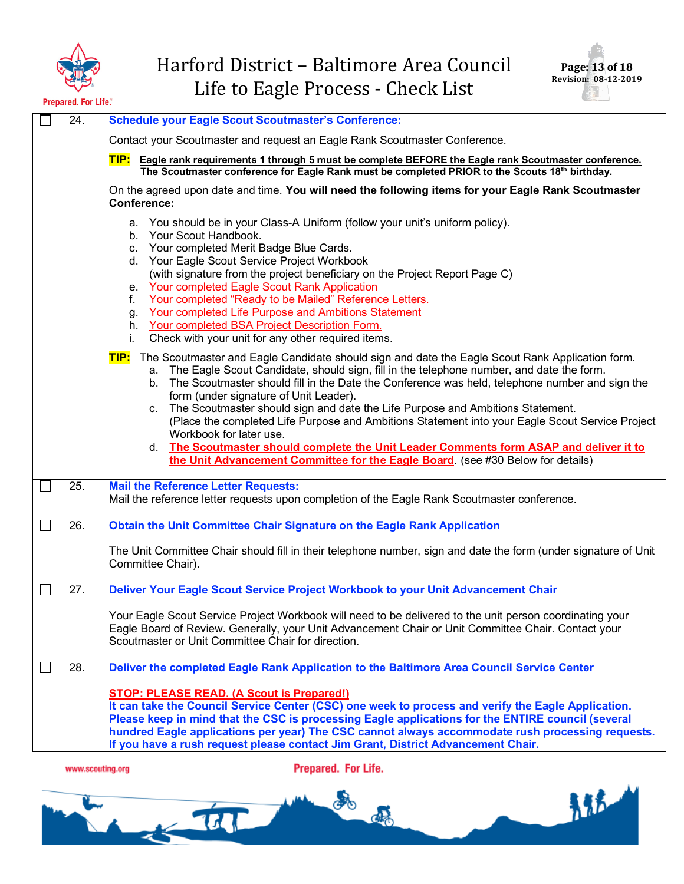



热气

| 24. | <b>Schedule your Eagle Scout Scoutmaster's Conference:</b>                                                                                                                                                                                                                                                                                                                                                                                                                                                                                                                                                                                                                                                                                                |
|-----|-----------------------------------------------------------------------------------------------------------------------------------------------------------------------------------------------------------------------------------------------------------------------------------------------------------------------------------------------------------------------------------------------------------------------------------------------------------------------------------------------------------------------------------------------------------------------------------------------------------------------------------------------------------------------------------------------------------------------------------------------------------|
|     | Contact your Scoutmaster and request an Eagle Rank Scoutmaster Conference.                                                                                                                                                                                                                                                                                                                                                                                                                                                                                                                                                                                                                                                                                |
|     | TIP:<br>Eagle rank requirements 1 through 5 must be complete BEFORE the Eagle rank Scoutmaster conference.<br>The Scoutmaster conference for Eagle Rank must be completed PRIOR to the Scouts 18th birthday.                                                                                                                                                                                                                                                                                                                                                                                                                                                                                                                                              |
|     | On the agreed upon date and time. You will need the following items for your Eagle Rank Scoutmaster<br><b>Conference:</b>                                                                                                                                                                                                                                                                                                                                                                                                                                                                                                                                                                                                                                 |
|     | a. You should be in your Class-A Uniform (follow your unit's uniform policy).<br>b. Your Scout Handbook.<br>Your completed Merit Badge Blue Cards.<br>c.<br>d. Your Eagle Scout Service Project Workbook<br>(with signature from the project beneficiary on the Project Report Page C)<br><b>Your completed Eagle Scout Rank Application</b><br>е.<br>Your completed "Ready to be Mailed" Reference Letters.<br>f.<br>Your completed Life Purpose and Ambitions Statement<br>g.<br>Your completed BSA Project Description Form.<br>h.<br>Check with your unit for any other required items.<br>i.                                                                                                                                                         |
|     | TIP: The Scoutmaster and Eagle Candidate should sign and date the Eagle Scout Rank Application form.<br>a. The Eagle Scout Candidate, should sign, fill in the telephone number, and date the form.<br>The Scoutmaster should fill in the Date the Conference was held, telephone number and sign the<br>b.<br>form (under signature of Unit Leader).<br>The Scoutmaster should sign and date the Life Purpose and Ambitions Statement.<br>C.<br>(Place the completed Life Purpose and Ambitions Statement into your Eagle Scout Service Project<br>Workbook for later use.<br>d. The Scoutmaster should complete the Unit Leader Comments form ASAP and deliver it to<br>the Unit Advancement Committee for the Eagle Board. (see #30 Below for details) |
| 25. | <b>Mail the Reference Letter Requests:</b><br>Mail the reference letter requests upon completion of the Eagle Rank Scoutmaster conference.                                                                                                                                                                                                                                                                                                                                                                                                                                                                                                                                                                                                                |
| 26. | Obtain the Unit Committee Chair Signature on the Eagle Rank Application                                                                                                                                                                                                                                                                                                                                                                                                                                                                                                                                                                                                                                                                                   |
|     | The Unit Committee Chair should fill in their telephone number, sign and date the form (under signature of Unit<br>Committee Chair).                                                                                                                                                                                                                                                                                                                                                                                                                                                                                                                                                                                                                      |
| 27. | Deliver Your Eagle Scout Service Project Workbook to your Unit Advancement Chair                                                                                                                                                                                                                                                                                                                                                                                                                                                                                                                                                                                                                                                                          |
|     | Your Eagle Scout Service Project Workbook will need to be delivered to the unit person coordinating your<br>Eagle Board of Review. Generally, your Unit Advancement Chair or Unit Committee Chair. Contact your<br>Scoutmaster or Unit Committee Chair for direction.                                                                                                                                                                                                                                                                                                                                                                                                                                                                                     |
| 28. | Deliver the completed Eagle Rank Application to the Baltimore Area Council Service Center                                                                                                                                                                                                                                                                                                                                                                                                                                                                                                                                                                                                                                                                 |
|     | <b>STOP: PLEASE READ. (A Scout is Prepared!)</b><br>It can take the Council Service Center (CSC) one week to process and verify the Eagle Application.<br>Please keep in mind that the CSC is processing Eagle applications for the ENTIRE council (several<br>hundred Eagle applications per year) The CSC cannot always accommodate rush processing requests.<br>If you have a rush request please contact Jim Grant, District Advancement Chair.                                                                                                                                                                                                                                                                                                       |
|     |                                                                                                                                                                                                                                                                                                                                                                                                                                                                                                                                                                                                                                                                                                                                                           |

www.scouting.org

Prepared. For Life.

 $\frac{1}{2}$ 

o

d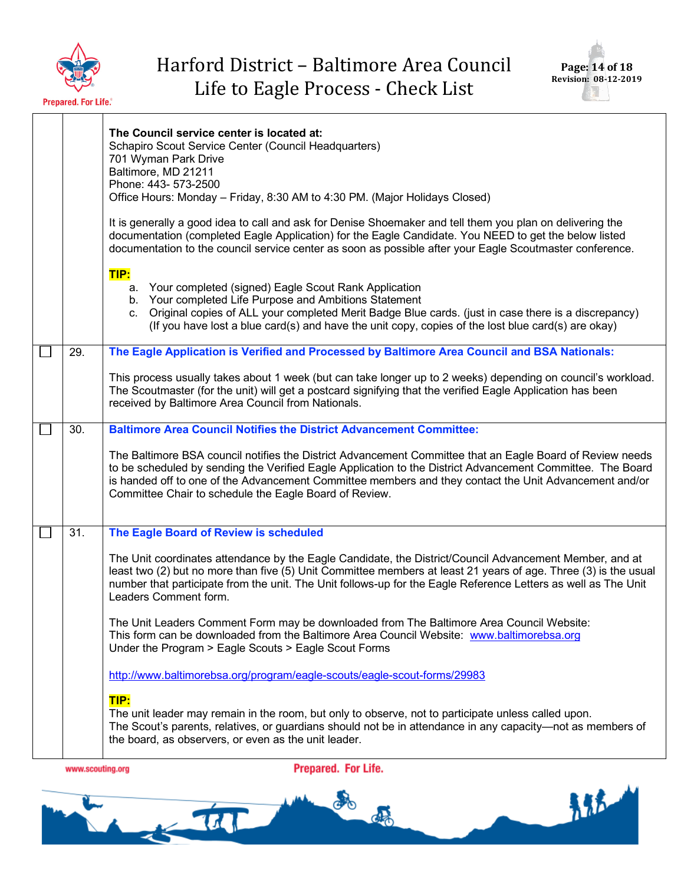



都市

|     | The Council service center is located at:<br>Schapiro Scout Service Center (Council Headquarters)<br>701 Wyman Park Drive<br>Baltimore, MD 21211<br>Phone: 443- 573-2500<br>Office Hours: Monday - Friday, 8:30 AM to 4:30 PM. (Major Holidays Closed)<br>It is generally a good idea to call and ask for Denise Shoemaker and tell them you plan on delivering the<br>documentation (completed Eagle Application) for the Eagle Candidate. You NEED to get the below listed<br>documentation to the council service center as soon as possible after your Eagle Scoutmaster conference.<br>TIP:<br>a. Your completed (signed) Eagle Scout Rank Application<br>b. Your completed Life Purpose and Ambitions Statement<br>c. Original copies of ALL your completed Merit Badge Blue cards. (just in case there is a discrepancy)<br>(If you have lost a blue card(s) and have the unit copy, copies of the lost blue card(s) are okay) |
|-----|---------------------------------------------------------------------------------------------------------------------------------------------------------------------------------------------------------------------------------------------------------------------------------------------------------------------------------------------------------------------------------------------------------------------------------------------------------------------------------------------------------------------------------------------------------------------------------------------------------------------------------------------------------------------------------------------------------------------------------------------------------------------------------------------------------------------------------------------------------------------------------------------------------------------------------------|
| 29. | The Eagle Application is Verified and Processed by Baltimore Area Council and BSA Nationals:                                                                                                                                                                                                                                                                                                                                                                                                                                                                                                                                                                                                                                                                                                                                                                                                                                          |
|     | This process usually takes about 1 week (but can take longer up to 2 weeks) depending on council's workload.<br>The Scoutmaster (for the unit) will get a postcard signifying that the verified Eagle Application has been<br>received by Baltimore Area Council from Nationals.                                                                                                                                                                                                                                                                                                                                                                                                                                                                                                                                                                                                                                                      |
| 30. | <b>Baltimore Area Council Notifies the District Advancement Committee:</b>                                                                                                                                                                                                                                                                                                                                                                                                                                                                                                                                                                                                                                                                                                                                                                                                                                                            |
|     | The Baltimore BSA council notifies the District Advancement Committee that an Eagle Board of Review needs<br>to be scheduled by sending the Verified Eagle Application to the District Advancement Committee. The Board<br>is handed off to one of the Advancement Committee members and they contact the Unit Advancement and/or<br>Committee Chair to schedule the Eagle Board of Review.                                                                                                                                                                                                                                                                                                                                                                                                                                                                                                                                           |
| 31. | The Eagle Board of Review is scheduled                                                                                                                                                                                                                                                                                                                                                                                                                                                                                                                                                                                                                                                                                                                                                                                                                                                                                                |
|     | The Unit coordinates attendance by the Eagle Candidate, the District/Council Advancement Member, and at<br>least two (2) but no more than five (5) Unit Committee members at least 21 years of age. Three (3) is the usual<br>number that participate from the unit. The Unit follows-up for the Eagle Reference Letters as well as The Unit<br>Leaders Comment form.                                                                                                                                                                                                                                                                                                                                                                                                                                                                                                                                                                 |
|     | The Unit Leaders Comment Form may be downloaded from The Baltimore Area Council Website:<br>This form can be downloaded from the Baltimore Area Council Website: www.baltimorebsa.org<br>Under the Program > Eagle Scouts > Eagle Scout Forms                                                                                                                                                                                                                                                                                                                                                                                                                                                                                                                                                                                                                                                                                         |
|     | http://www.baltimorebsa.org/program/eagle-scouts/eagle-scout-forms/29983                                                                                                                                                                                                                                                                                                                                                                                                                                                                                                                                                                                                                                                                                                                                                                                                                                                              |
|     | TIP:<br>The unit leader may remain in the room, but only to observe, not to participate unless called upon.<br>The Scout's parents, relatives, or guardians should not be in attendance in any capacity-not as members of<br>the board, as observers, or even as the unit leader.                                                                                                                                                                                                                                                                                                                                                                                                                                                                                                                                                                                                                                                     |
|     |                                                                                                                                                                                                                                                                                                                                                                                                                                                                                                                                                                                                                                                                                                                                                                                                                                                                                                                                       |

www.scouting.org

 $\frac{1}{2}$ 

Prepared. For Life.

o

CON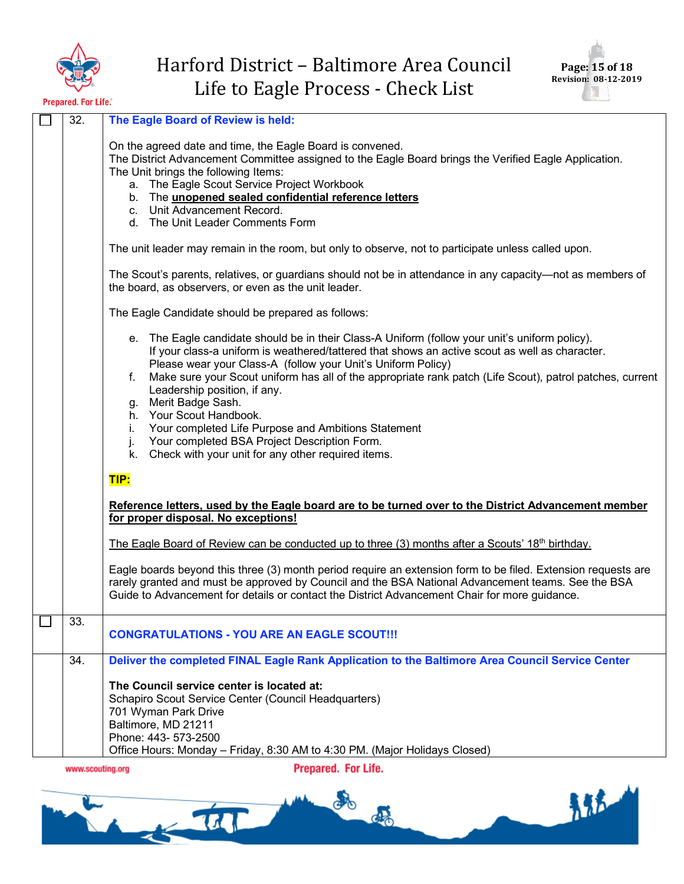



| 32.              | The Eagle Board of Review is held:                                                                                                                                                                                                                                                                                                                                                                                                                                                                                                                                                                                                                                                                                                                                  |
|------------------|---------------------------------------------------------------------------------------------------------------------------------------------------------------------------------------------------------------------------------------------------------------------------------------------------------------------------------------------------------------------------------------------------------------------------------------------------------------------------------------------------------------------------------------------------------------------------------------------------------------------------------------------------------------------------------------------------------------------------------------------------------------------|
|                  | On the agreed date and time, the Eagle Board is convened.<br>The District Advancement Committee assigned to the Eagle Board brings the Verified Eagle Application.<br>The Unit brings the following Items:<br>a. The Eagle Scout Service Project Workbook<br>b. The unopened sealed confidential reference letters<br>c. Unit Advancement Record.<br>d. The Unit Leader Comments Form                                                                                                                                                                                                                                                                                                                                                                               |
|                  | The unit leader may remain in the room, but only to observe, not to participate unless called upon.                                                                                                                                                                                                                                                                                                                                                                                                                                                                                                                                                                                                                                                                 |
|                  | The Scout's parents, relatives, or guardians should not be in attendance in any capacity—not as members of<br>the board, as observers, or even as the unit leader.                                                                                                                                                                                                                                                                                                                                                                                                                                                                                                                                                                                                  |
|                  | The Eagle Candidate should be prepared as follows:                                                                                                                                                                                                                                                                                                                                                                                                                                                                                                                                                                                                                                                                                                                  |
|                  | e. The Eagle candidate should be in their Class-A Uniform (follow your unit's uniform policy).<br>If your class-a uniform is weathered/tattered that shows an active scout as well as character.<br>Please wear your Class-A (follow your Unit's Uniform Policy)<br>Make sure your Scout uniform has all of the appropriate rank patch (Life Scout), patrol patches, current<br>f.<br>Leadership position, if any.<br>g. Merit Badge Sash.<br>h. Your Scout Handbook.<br>Your completed Life Purpose and Ambitions Statement<br>i.<br>Your completed BSA Project Description Form.<br>j.<br>Check with your unit for any other required items.<br>k.<br>TIP:<br>Reference letters, used by the Eagle board are to be turned over to the District Advancement member |
|                  | for proper disposal. No exceptions!                                                                                                                                                                                                                                                                                                                                                                                                                                                                                                                                                                                                                                                                                                                                 |
|                  | The Eagle Board of Review can be conducted up to three (3) months after a Scouts' $18th$ birthday.                                                                                                                                                                                                                                                                                                                                                                                                                                                                                                                                                                                                                                                                  |
|                  | Eagle boards beyond this three (3) month period require an extension form to be filed. Extension requests are<br>rarely granted and must be approved by Council and the BSA National Advancement teams. See the BSA<br>Guide to Advancement for details or contact the District Advancement Chair for more guidance.                                                                                                                                                                                                                                                                                                                                                                                                                                                |
| 33.              | <b>CONGRATULATIONS - YOU ARE AN EAGLE SCOUT!!!</b>                                                                                                                                                                                                                                                                                                                                                                                                                                                                                                                                                                                                                                                                                                                  |
| 34.              | Deliver the completed FINAL Eagle Rank Application to the Baltimore Area Council Service Center                                                                                                                                                                                                                                                                                                                                                                                                                                                                                                                                                                                                                                                                     |
|                  | The Council service center is located at:<br>Schapiro Scout Service Center (Council Headquarters)<br>701 Wyman Park Drive<br>Baltimore, MD 21211<br>Phone: 443- 573-2500<br>Office Hours: Monday - Friday, 8:30 AM to 4:30 PM. (Major Holidays Closed)                                                                                                                                                                                                                                                                                                                                                                                                                                                                                                              |
| www.scouting.org | <b>Prepared. For Life.</b>                                                                                                                                                                                                                                                                                                                                                                                                                                                                                                                                                                                                                                                                                                                                          |

do do 都  $\sqrt{11}$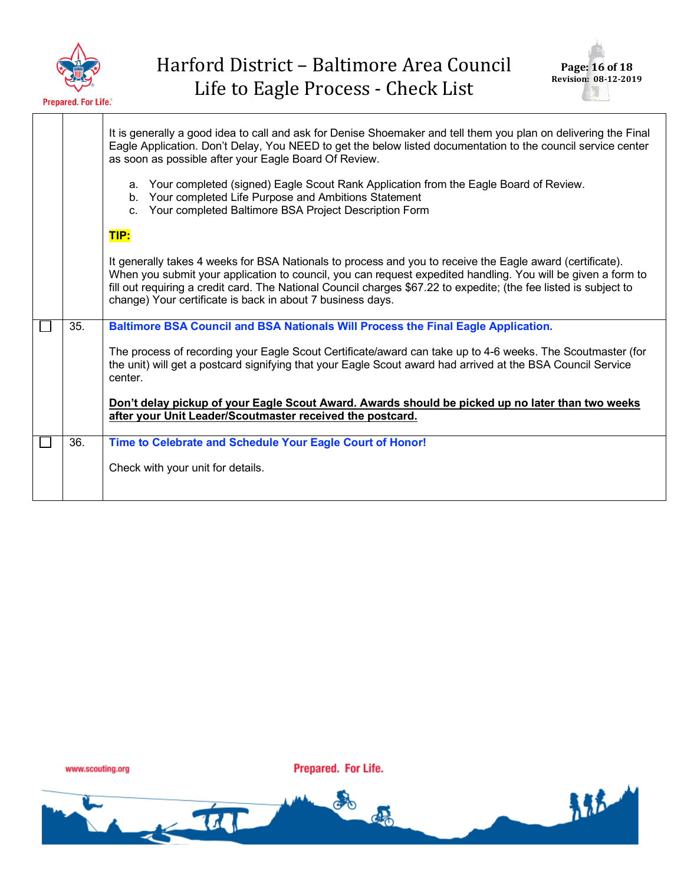



青春

|     | It is generally a good idea to call and ask for Denise Shoemaker and tell them you plan on delivering the Final<br>Eagle Application. Don't Delay, You NEED to get the below listed documentation to the council service center<br>as soon as possible after your Eagle Board Of Review.                                                                                                                     |
|-----|--------------------------------------------------------------------------------------------------------------------------------------------------------------------------------------------------------------------------------------------------------------------------------------------------------------------------------------------------------------------------------------------------------------|
|     | a. Your completed (signed) Eagle Scout Rank Application from the Eagle Board of Review.<br>b. Your completed Life Purpose and Ambitions Statement<br>c. Your completed Baltimore BSA Project Description Form                                                                                                                                                                                                |
|     | TIP:                                                                                                                                                                                                                                                                                                                                                                                                         |
|     | It generally takes 4 weeks for BSA Nationals to process and you to receive the Eagle award (certificate).<br>When you submit your application to council, you can request expedited handling. You will be given a form to<br>fill out requiring a credit card. The National Council charges \$67.22 to expedite; (the fee listed is subject to<br>change) Your certificate is back in about 7 business days. |
| 35. | Baltimore BSA Council and BSA Nationals Will Process the Final Eagle Application.                                                                                                                                                                                                                                                                                                                            |
|     | The process of recording your Eagle Scout Certificate/award can take up to 4-6 weeks. The Scoutmaster (for<br>the unit) will get a postcard signifying that your Eagle Scout award had arrived at the BSA Council Service<br>center.                                                                                                                                                                         |
|     | Don't delay pickup of your Eagle Scout Award. Awards should be picked up no later than two weeks<br>after your Unit Leader/Scoutmaster received the postcard.                                                                                                                                                                                                                                                |
| 36. | Time to Celebrate and Schedule Your Eagle Court of Honor!                                                                                                                                                                                                                                                                                                                                                    |
|     | Check with your unit for details.                                                                                                                                                                                                                                                                                                                                                                            |

www.scouting.org

 $\frac{1}{2}$ 

Prepared. For Life.

ato

de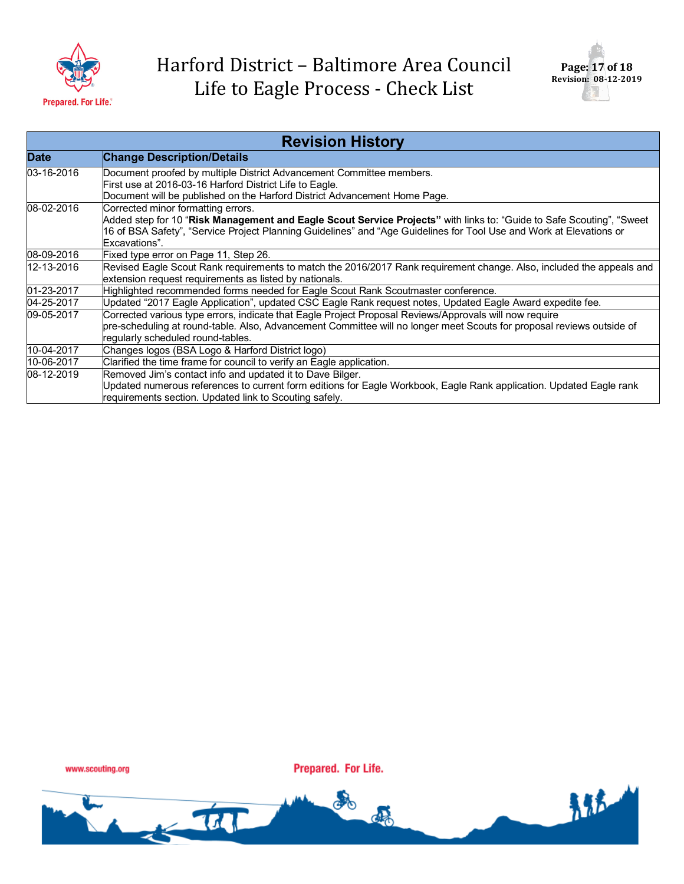



| <b>Revision History</b> |                                                                                                                                                                                                                                                                                                    |  |  |
|-------------------------|----------------------------------------------------------------------------------------------------------------------------------------------------------------------------------------------------------------------------------------------------------------------------------------------------|--|--|
| <b>Date</b>             | <b>Change Description/Details</b>                                                                                                                                                                                                                                                                  |  |  |
| 03-16-2016              | Document proofed by multiple District Advancement Committee members.                                                                                                                                                                                                                               |  |  |
|                         | First use at 2016-03-16 Harford District Life to Eagle.<br>Document will be published on the Harford District Advancement Home Page.                                                                                                                                                               |  |  |
| 08-02-2016              |                                                                                                                                                                                                                                                                                                    |  |  |
|                         | Corrected minor formatting errors.<br>Added step for 10 "Risk Management and Eagle Scout Service Projects" with links to: "Guide to Safe Scouting", "Sweet<br>16 of BSA Safety", "Service Project Planning Guidelines" and "Age Guidelines for Tool Use and Work at Elevations or<br>Excavations". |  |  |
| 08-09-2016              | Fixed type error on Page 11, Step 26.                                                                                                                                                                                                                                                              |  |  |
| 12-13-2016              | Revised Eagle Scout Rank requirements to match the 2016/2017 Rank requirement change. Also, included the appeals and                                                                                                                                                                               |  |  |
|                         | extension request requirements as listed by nationals.                                                                                                                                                                                                                                             |  |  |
| 01-23-2017              | Highlighted recommended forms needed for Eagle Scout Rank Scoutmaster conference.                                                                                                                                                                                                                  |  |  |
| 04-25-2017              | Updated "2017 Eagle Application", updated CSC Eagle Rank request notes, Updated Eagle Award expedite fee.                                                                                                                                                                                          |  |  |
| 09-05-2017              | Corrected various type errors, indicate that Eagle Project Proposal Reviews/Approvals will now require                                                                                                                                                                                             |  |  |
|                         | pre-scheduling at round-table. Also, Advancement Committee will no longer meet Scouts for proposal reviews outside of                                                                                                                                                                              |  |  |
|                         | regularly scheduled round-tables.                                                                                                                                                                                                                                                                  |  |  |
| 10-04-2017              | Changes logos (BSA Logo & Harford District logo)                                                                                                                                                                                                                                                   |  |  |
| 10-06-2017              | Clarified the time frame for council to verify an Eagle application.                                                                                                                                                                                                                               |  |  |
| 08-12-2019              | Removed Jim's contact info and updated it to Dave Bilger.                                                                                                                                                                                                                                          |  |  |
|                         | Updated numerous references to current form editions for Eagle Workbook, Eagle Rank application. Updated Eagle rank<br>requirements section. Updated link to Scouting safely.                                                                                                                      |  |  |

www.scouting.org